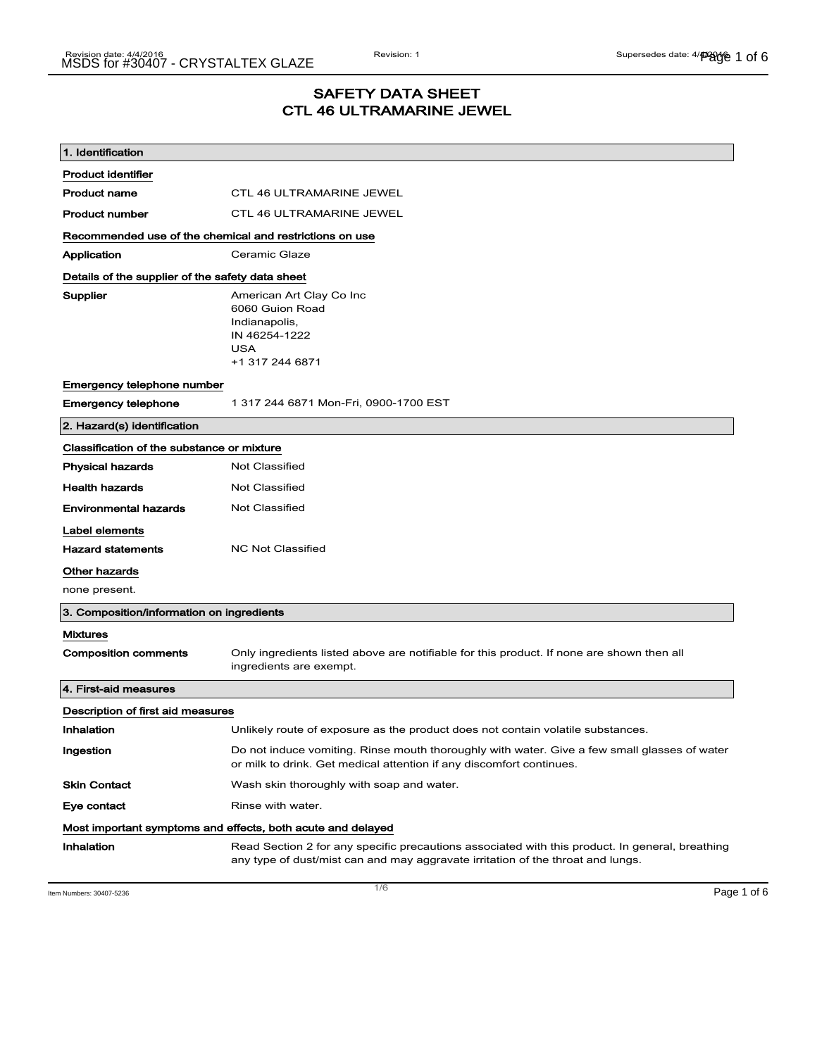# SAFETY DATA SHEET CTL 46 ULTRAMARINE JEWEL

| 1. Identification                                           |                                                                                                                                                                                    |  |
|-------------------------------------------------------------|------------------------------------------------------------------------------------------------------------------------------------------------------------------------------------|--|
| <b>Product identifier</b>                                   |                                                                                                                                                                                    |  |
| <b>Product name</b>                                         | <b>CTL 46 ULTRAMARINE JEWEL</b>                                                                                                                                                    |  |
| <b>Product number</b>                                       | <b>CTL 46 ULTRAMARINE JEWEL</b>                                                                                                                                                    |  |
| Recommended use of the chemical and restrictions on use     |                                                                                                                                                                                    |  |
| Application                                                 | Ceramic Glaze                                                                                                                                                                      |  |
| Details of the supplier of the safety data sheet            |                                                                                                                                                                                    |  |
| Supplier                                                    | American Art Clay Co Inc<br>6060 Guion Road<br>Indianapolis,<br>IN 46254-1222<br><b>USA</b><br>+1 317 244 6871                                                                     |  |
| Emergency telephone number                                  |                                                                                                                                                                                    |  |
| <b>Emergency telephone</b>                                  | 1 317 244 6871 Mon-Fri, 0900-1700 EST                                                                                                                                              |  |
| 2. Hazard(s) identification                                 |                                                                                                                                                                                    |  |
| Classification of the substance or mixture                  |                                                                                                                                                                                    |  |
| <b>Physical hazards</b>                                     | <b>Not Classified</b>                                                                                                                                                              |  |
| <b>Health hazards</b>                                       | <b>Not Classified</b>                                                                                                                                                              |  |
| <b>Environmental hazards</b>                                | Not Classified                                                                                                                                                                     |  |
| Label elements                                              |                                                                                                                                                                                    |  |
| <b>Hazard statements</b>                                    | <b>NC Not Classified</b>                                                                                                                                                           |  |
| Other hazards                                               |                                                                                                                                                                                    |  |
| none present.                                               |                                                                                                                                                                                    |  |
| 3. Composition/information on ingredients                   |                                                                                                                                                                                    |  |
| <b>Mixtures</b>                                             |                                                                                                                                                                                    |  |
| <b>Composition comments</b>                                 | Only ingredients listed above are notifiable for this product. If none are shown then all<br>ingredients are exempt.                                                               |  |
| 4. First-aid measures                                       |                                                                                                                                                                                    |  |
| Description of first aid measures                           |                                                                                                                                                                                    |  |
| Inhalation                                                  | Unlikely route of exposure as the product does not contain volatile substances.                                                                                                    |  |
| Ingestion                                                   | Do not induce vomiting. Rinse mouth thoroughly with water. Give a few small glasses of water<br>or milk to drink. Get medical attention if any discomfort continues.               |  |
| <b>Skin Contact</b>                                         | Wash skin thoroughly with soap and water.                                                                                                                                          |  |
| Eye contact                                                 | Rinse with water.                                                                                                                                                                  |  |
| Most important symptoms and effects, both acute and delayed |                                                                                                                                                                                    |  |
| Inhalation                                                  | Read Section 2 for any specific precautions associated with this product. In general, breathing<br>any type of dust/mist can and may aggravate irritation of the throat and lungs. |  |

Item Numbers: 30407-5236 **Page 1 of 6**  $\overline{1/6}$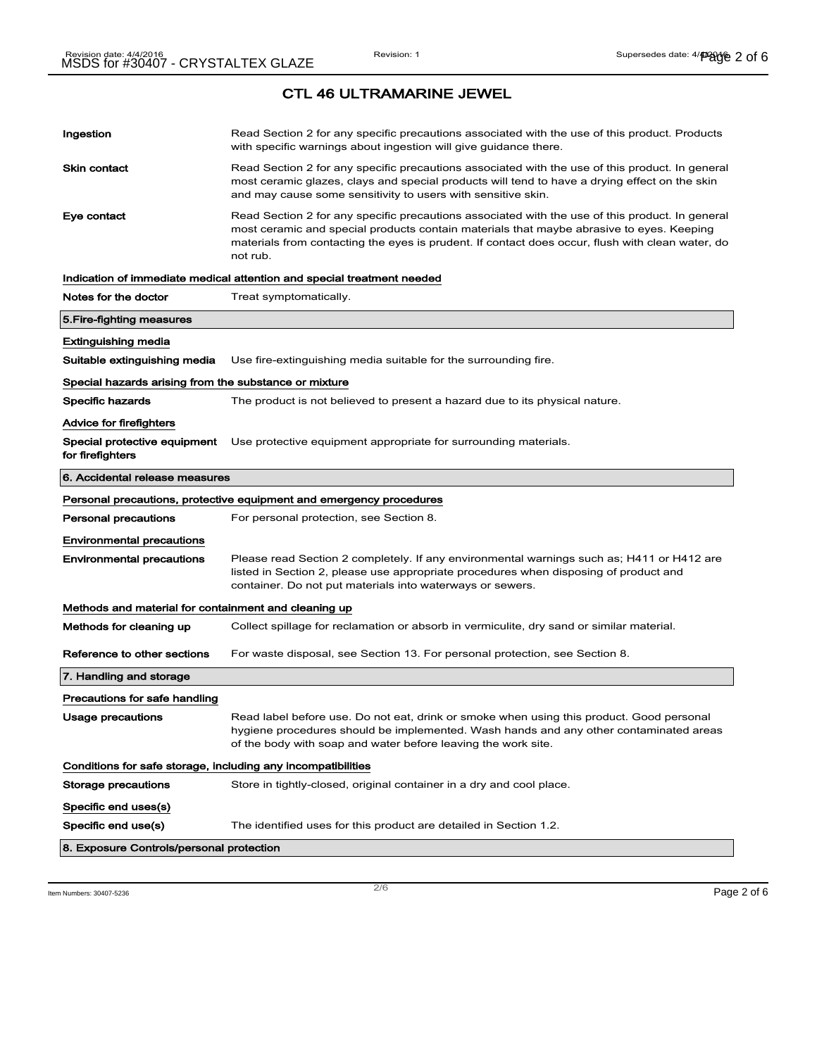| Ingestion                                                    | Read Section 2 for any specific precautions associated with the use of this product. Products<br>with specific warnings about ingestion will give guidance there.                                                                                                                                           |
|--------------------------------------------------------------|-------------------------------------------------------------------------------------------------------------------------------------------------------------------------------------------------------------------------------------------------------------------------------------------------------------|
| Skin contact                                                 | Read Section 2 for any specific precautions associated with the use of this product. In general<br>most ceramic glazes, clays and special products will tend to have a drying effect on the skin<br>and may cause some sensitivity to users with sensitive skin.                                            |
| Eye contact                                                  | Read Section 2 for any specific precautions associated with the use of this product. In general<br>most ceramic and special products contain materials that maybe abrasive to eyes. Keeping<br>materials from contacting the eyes is prudent. If contact does occur, flush with clean water, do<br>not rub. |
|                                                              | Indication of immediate medical attention and special treatment needed                                                                                                                                                                                                                                      |
| Notes for the doctor                                         | Treat symptomatically.                                                                                                                                                                                                                                                                                      |
| 5.Fire-fighting measures                                     |                                                                                                                                                                                                                                                                                                             |
| Extinguishing media                                          |                                                                                                                                                                                                                                                                                                             |
| Suitable extinguishing media                                 | Use fire-extinguishing media suitable for the surrounding fire.                                                                                                                                                                                                                                             |
| Special hazards arising from the substance or mixture        |                                                                                                                                                                                                                                                                                                             |
| Specific hazards                                             | The product is not believed to present a hazard due to its physical nature.                                                                                                                                                                                                                                 |
| Advice for firefighters                                      |                                                                                                                                                                                                                                                                                                             |
| Special protective equipment<br>for firefighters             | Use protective equipment appropriate for surrounding materials.                                                                                                                                                                                                                                             |
| 6. Accidental release measures                               |                                                                                                                                                                                                                                                                                                             |
|                                                              | Personal precautions, protective equipment and emergency procedures                                                                                                                                                                                                                                         |
| <b>Personal precautions</b>                                  | For personal protection, see Section 8.                                                                                                                                                                                                                                                                     |
| <b>Environmental precautions</b>                             |                                                                                                                                                                                                                                                                                                             |
| <b>Environmental precautions</b>                             | Please read Section 2 completely. If any environmental warnings such as; H411 or H412 are<br>listed in Section 2, please use appropriate procedures when disposing of product and<br>container. Do not put materials into waterways or sewers.                                                              |
| Methods and material for containment and cleaning up         |                                                                                                                                                                                                                                                                                                             |
| Methods for cleaning up                                      | Collect spillage for reclamation or absorb in vermiculite, dry sand or similar material.                                                                                                                                                                                                                    |
| Reference to other sections                                  |                                                                                                                                                                                                                                                                                                             |
|                                                              | For waste disposal, see Section 13. For personal protection, see Section 8.                                                                                                                                                                                                                                 |
| 7. Handling and storage                                      |                                                                                                                                                                                                                                                                                                             |
| Precautions for safe handling                                |                                                                                                                                                                                                                                                                                                             |
| <b>Usage precautions</b>                                     | Read label before use. Do not eat, drink or smoke when using this product. Good personal<br>hygiene procedures should be implemented. Wash hands and any other contaminated areas<br>of the body with soap and water before leaving the work site.                                                          |
| Conditions for safe storage, including any incompatibilities |                                                                                                                                                                                                                                                                                                             |
| Storage precautions                                          | Store in tightly-closed, original container in a dry and cool place.                                                                                                                                                                                                                                        |
| Specific end uses(s)                                         |                                                                                                                                                                                                                                                                                                             |
| Specific end use(s)                                          | The identified uses for this product are detailed in Section 1.2.                                                                                                                                                                                                                                           |

Item Numbers:  $30407-5236$   $Page 2 of 6$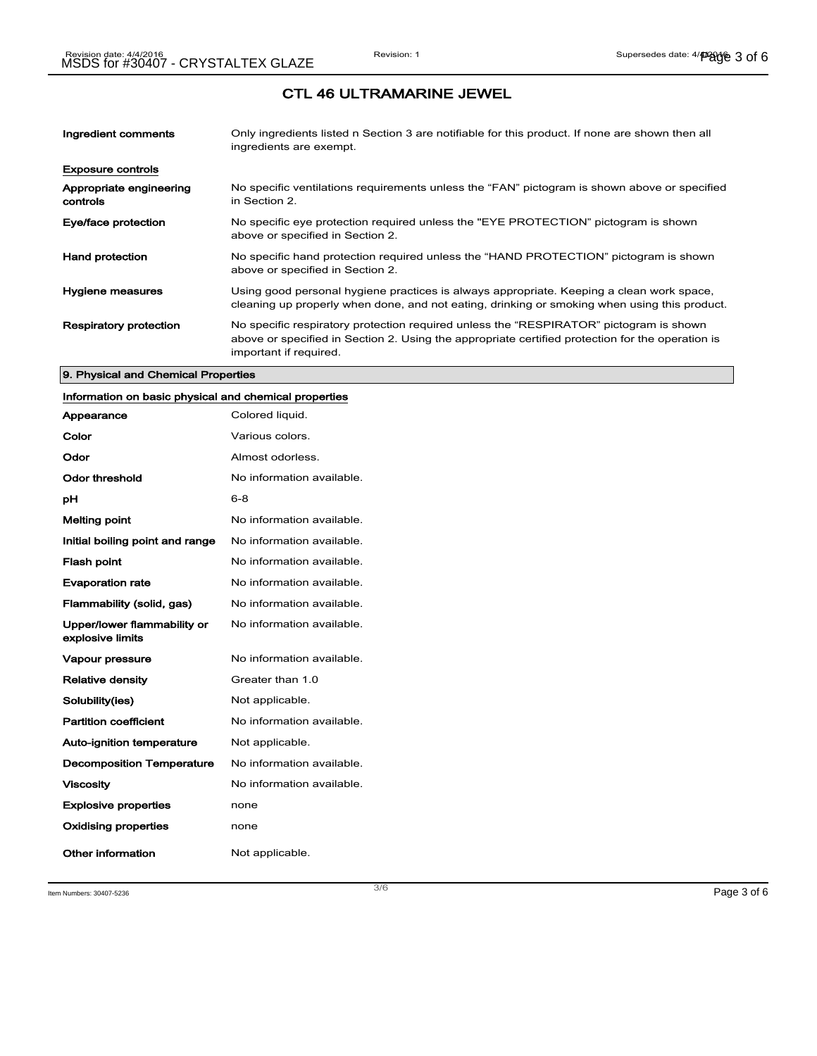| Ingredient comments                 | Only ingredients listed n Section 3 are notifiable for this product. If none are shown then all<br>ingredients are exempt.                                                                                           |
|-------------------------------------|----------------------------------------------------------------------------------------------------------------------------------------------------------------------------------------------------------------------|
| <b>Exposure controls</b>            |                                                                                                                                                                                                                      |
| Appropriate engineering<br>controls | No specific ventilations requirements unless the "FAN" pictogram is shown above or specified<br>in Section 2.                                                                                                        |
| Eye/face protection                 | No specific eye protection required unless the "EYE PROTECTION" pictogram is shown<br>above or specified in Section 2.                                                                                               |
| <b>Hand protection</b>              | No specific hand protection required unless the "HAND PROTECTION" pictogram is shown<br>above or specified in Section 2.                                                                                             |
| <b>Hygiene measures</b>             | Using good personal hygiene practices is always appropriate. Keeping a clean work space,<br>cleaning up properly when done, and not eating, drinking or smoking when using this product.                             |
| <b>Respiratory protection</b>       | No specific respiratory protection required unless the "RESPIRATOR" pictogram is shown<br>above or specified in Section 2. Using the appropriate certified protection for the operation is<br>important if required. |

#### 9. Physical and Chemical Properties

### Information on basic physical and chemical properties

| Appearance                                      | Colored liquid.           |
|-------------------------------------------------|---------------------------|
| Color                                           | Various colors.           |
| Odor                                            | Almost odorless.          |
| Odor threshold                                  | No information available. |
| рH                                              | $6 - 8$                   |
| <b>Melting point</b>                            | No information available. |
| Initial boiling point and range                 | No information available. |
| <b>Flash point</b>                              | No information available. |
| <b>Evaporation rate</b>                         | No information available. |
| Flammability (solid, gas)                       | No information available. |
| Upper/lower flammability or<br>explosive limits | No information available. |
| Vapour pressure                                 | No information available. |
| <b>Relative density</b>                         | Greater than 1.0          |
| Solubility(ies)                                 | Not applicable.           |
| <b>Partition coefficient</b>                    | No information available. |
| Auto-ignition temperature                       | Not applicable.           |
| <b>Decomposition Temperature</b>                | No information available. |
| <b>Viscosity</b>                                | No information available. |
| <b>Explosive properties</b>                     | none                      |
| <b>Oxidising properties</b>                     | none                      |
| Other information                               | Not applicable.           |

Item Numbers:  $30407-5236$   $Page 3 of 6$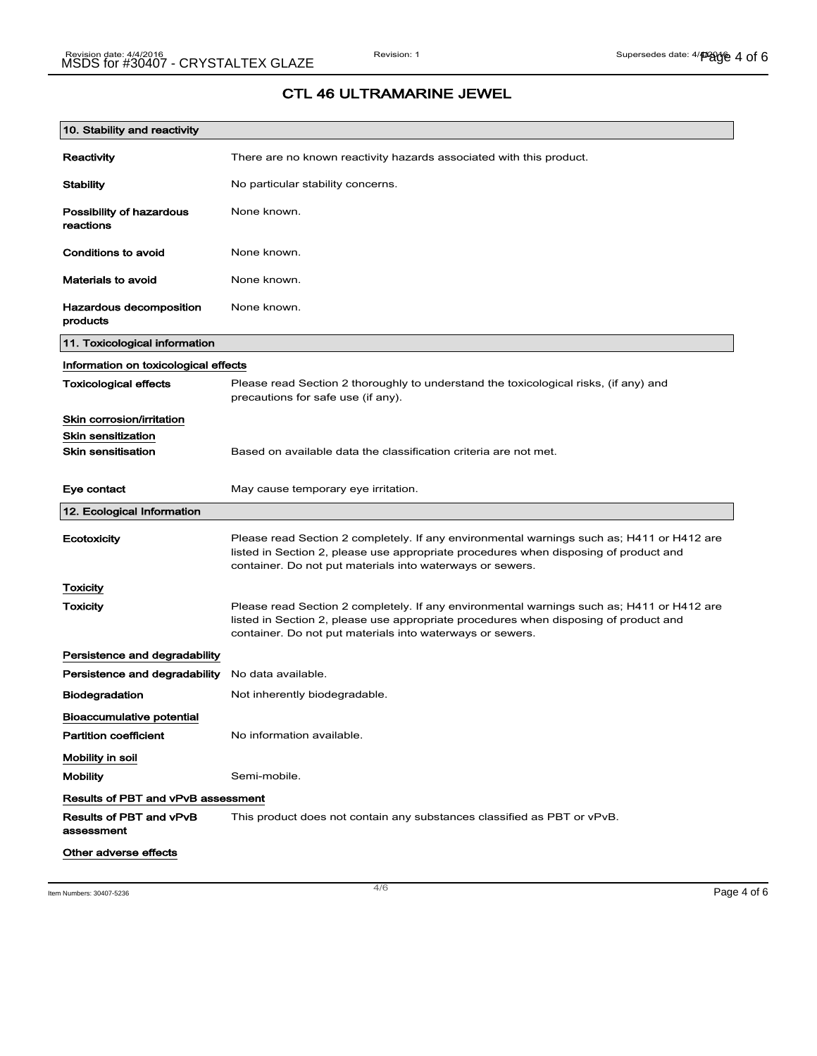| 10. Stability and reactivity          |                                                                                                                                                                                                                                                |
|---------------------------------------|------------------------------------------------------------------------------------------------------------------------------------------------------------------------------------------------------------------------------------------------|
| Reactivity                            | There are no known reactivity hazards associated with this product.                                                                                                                                                                            |
| <b>Stability</b>                      | No particular stability concerns.                                                                                                                                                                                                              |
| Possibility of hazardous<br>reactions | None known.                                                                                                                                                                                                                                    |
| Conditions to avoid                   | None known.                                                                                                                                                                                                                                    |
| <b>Materials to avoid</b>             | None known.                                                                                                                                                                                                                                    |
| Hazardous decomposition<br>products   | None known.                                                                                                                                                                                                                                    |
| 11. Toxicological information         |                                                                                                                                                                                                                                                |
| Information on toxicological effects  |                                                                                                                                                                                                                                                |
| <b>Toxicological effects</b>          | Please read Section 2 thoroughly to understand the toxicological risks, (if any) and<br>precautions for safe use (if any).                                                                                                                     |
| Skin corrosion/irritation             |                                                                                                                                                                                                                                                |
| <b>Skin sensitization</b>             |                                                                                                                                                                                                                                                |
| <b>Skin sensitisation</b>             | Based on available data the classification criteria are not met.                                                                                                                                                                               |
| Eye contact                           | May cause temporary eye irritation.                                                                                                                                                                                                            |
| 12. Ecological Information            |                                                                                                                                                                                                                                                |
| Ecotoxicity                           | Please read Section 2 completely. If any environmental warnings such as; H411 or H412 are<br>listed in Section 2, please use appropriate procedures when disposing of product and<br>container. Do not put materials into waterways or sewers. |
| Toxicity                              |                                                                                                                                                                                                                                                |
| Toxicity                              | Please read Section 2 completely. If any environmental warnings such as; H411 or H412 are<br>listed in Section 2, please use appropriate procedures when disposing of product and<br>container. Do not put materials into waterways or sewers. |
| Persistence and degradability         |                                                                                                                                                                                                                                                |
| Persistence and degradability         | No data available.                                                                                                                                                                                                                             |
| <b>Biodegradation</b>                 | Not inherently biodegradable.                                                                                                                                                                                                                  |
| <b>Bioaccumulative potential</b>      |                                                                                                                                                                                                                                                |
| <b>Partition coefficient</b>          | No information available.                                                                                                                                                                                                                      |
| Mobility in soil                      |                                                                                                                                                                                                                                                |
| <b>Mobility</b>                       | Semi-mobile.                                                                                                                                                                                                                                   |
| Results of PBT and vPvB assessment    |                                                                                                                                                                                                                                                |
| Results of PBT and vPvB<br>assessment | This product does not contain any substances classified as PBT or vPvB.                                                                                                                                                                        |
| Other adverse effects                 |                                                                                                                                                                                                                                                |

Item Numbers: 30407-5236 **Page 4 of 6**  $\overline{a}$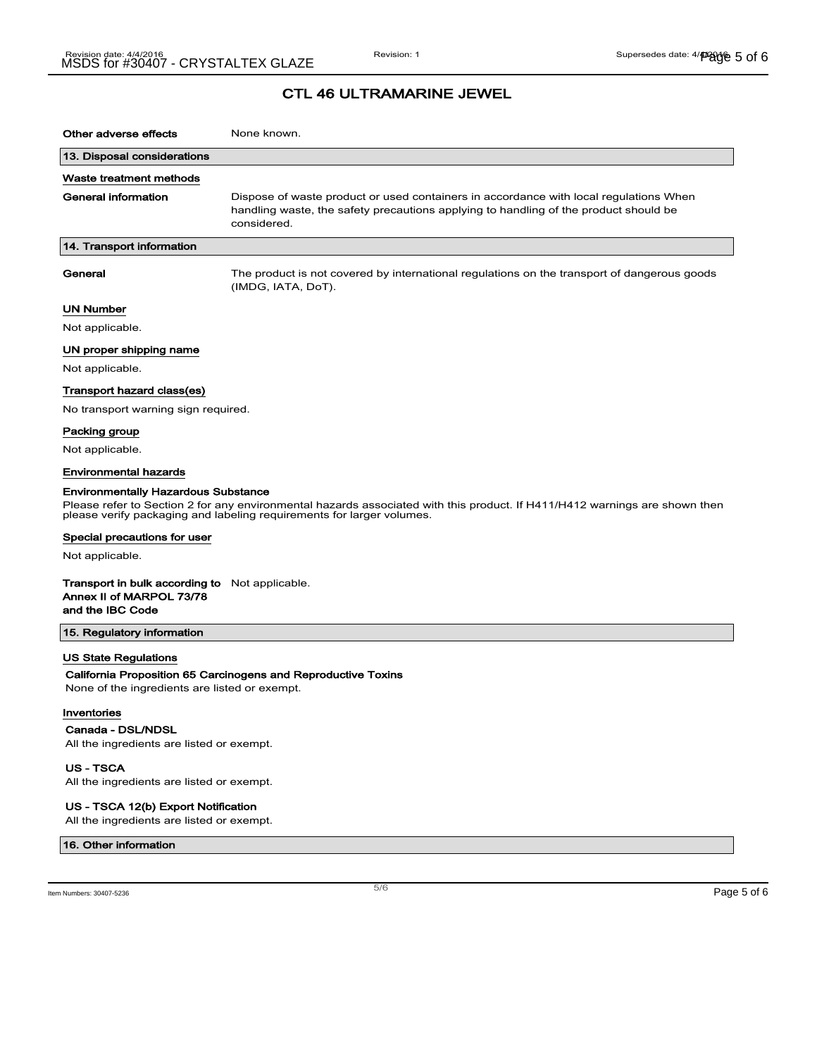# CTL 46 ULTRAMARINE JEWEL

| Other adverse effects                                                                                                                                                                                                                             | None known.                                                                                                                                                                                  |
|---------------------------------------------------------------------------------------------------------------------------------------------------------------------------------------------------------------------------------------------------|----------------------------------------------------------------------------------------------------------------------------------------------------------------------------------------------|
| 13. Disposal considerations                                                                                                                                                                                                                       |                                                                                                                                                                                              |
| Waste treatment methods                                                                                                                                                                                                                           |                                                                                                                                                                                              |
| General information                                                                                                                                                                                                                               | Dispose of waste product or used containers in accordance with local regulations When<br>handling waste, the safety precautions applying to handling of the product should be<br>considered. |
| 14. Transport information                                                                                                                                                                                                                         |                                                                                                                                                                                              |
| General                                                                                                                                                                                                                                           | The product is not covered by international regulations on the transport of dangerous goods<br>(IMDG, IATA, DoT).                                                                            |
| UN Number                                                                                                                                                                                                                                         |                                                                                                                                                                                              |
| Not applicable.                                                                                                                                                                                                                                   |                                                                                                                                                                                              |
| UN proper shipping name                                                                                                                                                                                                                           |                                                                                                                                                                                              |
| Not applicable.                                                                                                                                                                                                                                   |                                                                                                                                                                                              |
| Transport hazard class(es)                                                                                                                                                                                                                        |                                                                                                                                                                                              |
| No transport warning sign required.                                                                                                                                                                                                               |                                                                                                                                                                                              |
| Packing group                                                                                                                                                                                                                                     |                                                                                                                                                                                              |
| Not applicable.                                                                                                                                                                                                                                   |                                                                                                                                                                                              |
| <b>Environmental hazards</b>                                                                                                                                                                                                                      |                                                                                                                                                                                              |
| <b>Environmentally Hazardous Substance</b><br>Please refer to Section 2 for any environmental hazards associated with this product. If H411/H412 warnings are shown then<br>please verify packaging and labeling requirements for larger volumes. |                                                                                                                                                                                              |
| Special precautions for user                                                                                                                                                                                                                      |                                                                                                                                                                                              |
| Not applicable.                                                                                                                                                                                                                                   |                                                                                                                                                                                              |
| <b>Transport in bulk according to</b> Not applicable.<br>Annex II of MARPOL 73/78<br>and the IBC Code                                                                                                                                             |                                                                                                                                                                                              |
| 15. Regulatory information                                                                                                                                                                                                                        |                                                                                                                                                                                              |
| <b>US State Regulations</b>                                                                                                                                                                                                                       |                                                                                                                                                                                              |
| None of the ingredients are listed or exempt.                                                                                                                                                                                                     | California Proposition 65 Carcinogens and Reproductive Toxins                                                                                                                                |
| Inventories<br>Canada - DSL/NDSL<br>All the ingredients are listed or exempt.                                                                                                                                                                     |                                                                                                                                                                                              |
| US - TSCA                                                                                                                                                                                                                                         |                                                                                                                                                                                              |

All the ingredients are listed or exempt.

#### US - TSCA 12(b) Export Notification

All the ingredients are listed or exempt.

#### 16. Other information